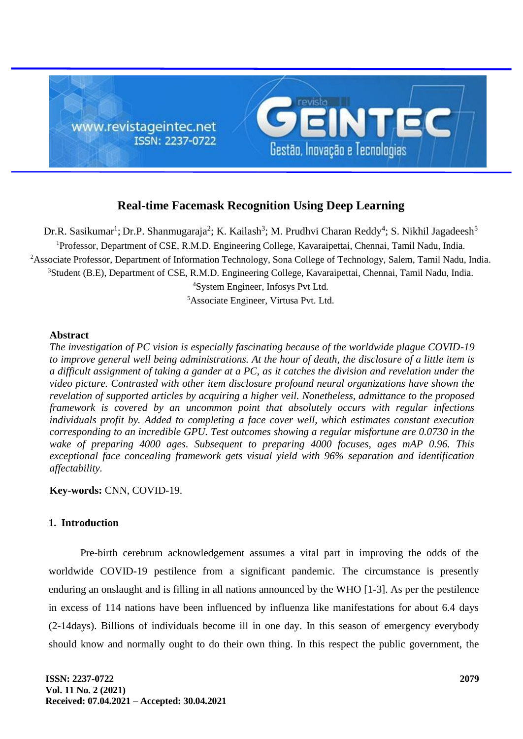

# **Real-time Facemask Recognition Using Deep Learning**

Dr.R. Sasikumar<sup>1</sup>; Dr.P. Shanmugaraja<sup>2</sup>; K. Kailash<sup>3</sup>; M. Prudhvi Charan Reddy<sup>4</sup>; S. Nikhil Jagadeesh<sup>5</sup> <sup>1</sup>Professor, Department of CSE, R.M.D. Engineering College, Kavaraipettai, Chennai, Tamil Nadu, India. <sup>2</sup>Associate Professor, Department of Information Technology, Sona College of Technology, Salem, Tamil Nadu, India. <sup>3</sup>Student (B.E), Department of CSE, R.M.D. Engineering College, Kavaraipettai, Chennai, Tamil Nadu, India. <sup>4</sup>System Engineer, Infosys Pvt Ltd.

<sup>5</sup>Associate Engineer, Virtusa Pvt. Ltd.

#### **Abstract**

*The investigation of PC vision is especially fascinating because of the worldwide plague COVID-19 to improve general well being administrations. At the hour of death, the disclosure of a little item is a difficult assignment of taking a gander at a PC, as it catches the division and revelation under the video picture. Contrasted with other item disclosure profound neural organizations have shown the revelation of supported articles by acquiring a higher veil. Nonetheless, admittance to the proposed framework is covered by an uncommon point that absolutely occurs with regular infections individuals profit by. Added to completing a face cover well, which estimates constant execution corresponding to an incredible GPU. Test outcomes showing a regular misfortune are 0.0730 in the wake of preparing 4000 ages. Subsequent to preparing 4000 focuses, ages mAP 0.96. This exceptional face concealing framework gets visual yield with 96% separation and identification affectability.*

**Key-words:** CNN, COVID-19.

# **1. Introduction**

Pre-birth cerebrum acknowledgement assumes a vital part in improving the odds of the worldwide COVID-19 pestilence from a significant pandemic. The circumstance is presently enduring an onslaught and is filling in all nations announced by the WHO [1-3]. As per the pestilence in excess of 114 nations have been influenced by influenza like manifestations for about 6.4 days (2-14days). Billions of individuals become ill in one day. In this season of emergency everybody should know and normally ought to do their own thing. In this respect the public government, the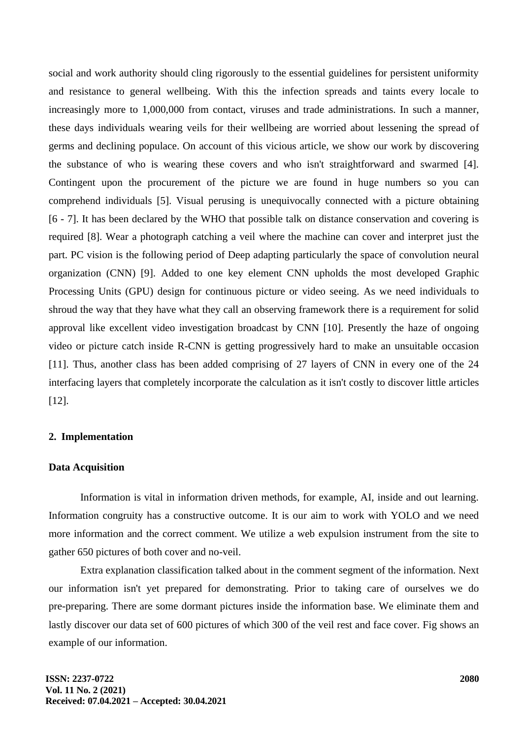social and work authority should cling rigorously to the essential guidelines for persistent uniformity and resistance to general wellbeing. With this the infection spreads and taints every locale to increasingly more to 1,000,000 from contact, viruses and trade administrations. In such a manner, these days individuals wearing veils for their wellbeing are worried about lessening the spread of germs and declining populace. On account of this vicious article, we show our work by discovering the substance of who is wearing these covers and who isn't straightforward and swarmed [4]. Contingent upon the procurement of the picture we are found in huge numbers so you can comprehend individuals [5]. Visual perusing is unequivocally connected with a picture obtaining [6 - 7]. It has been declared by the WHO that possible talk on distance conservation and covering is required [8]. Wear a photograph catching a veil where the machine can cover and interpret just the part. PC vision is the following period of Deep adapting particularly the space of convolution neural organization (CNN) [9]. Added to one key element CNN upholds the most developed Graphic Processing Units (GPU) design for continuous picture or video seeing. As we need individuals to shroud the way that they have what they call an observing framework there is a requirement for solid approval like excellent video investigation broadcast by CNN [10]. Presently the haze of ongoing video or picture catch inside R-CNN is getting progressively hard to make an unsuitable occasion [11]. Thus, another class has been added comprising of 27 layers of CNN in every one of the 24 interfacing layers that completely incorporate the calculation as it isn't costly to discover little articles [12].

# **2. Implementation**

### **Data Acquisition**

Information is vital in information driven methods, for example, AI, inside and out learning. Information congruity has a constructive outcome. It is our aim to work with YOLO and we need more information and the correct comment. We utilize a web expulsion instrument from the site to gather 650 pictures of both cover and no-veil.

Extra explanation classification talked about in the comment segment of the information. Next our information isn't yet prepared for demonstrating. Prior to taking care of ourselves we do pre-preparing. There are some dormant pictures inside the information base. We eliminate them and lastly discover our data set of 600 pictures of which 300 of the veil rest and face cover. Fig shows an example of our information.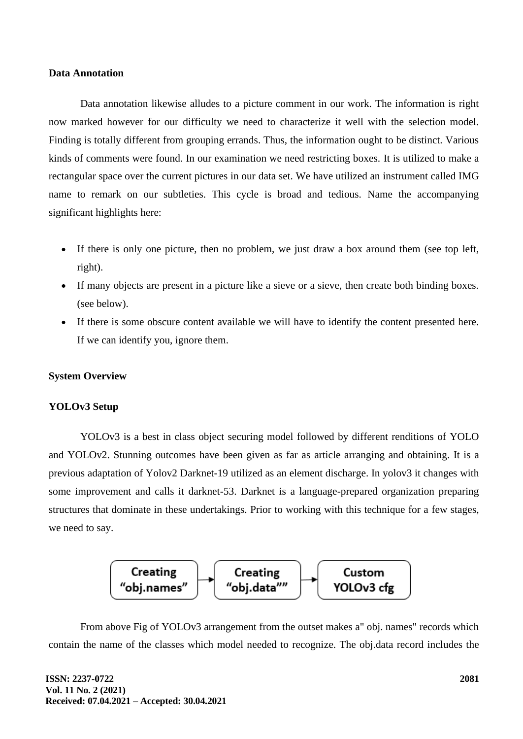#### **Data Annotation**

Data annotation likewise alludes to a picture comment in our work. The information is right now marked however for our difficulty we need to characterize it well with the selection model. Finding is totally different from grouping errands. Thus, the information ought to be distinct. Various kinds of comments were found. In our examination we need restricting boxes. It is utilized to make a rectangular space over the current pictures in our data set. We have utilized an instrument called IMG name to remark on our subtleties. This cycle is broad and tedious. Name the accompanying significant highlights here:

- If there is only one picture, then no problem, we just draw a box around them (see top left, right).
- If many objects are present in a picture like a sieve or a sieve, then create both binding boxes. (see below).
- If there is some obscure content available we will have to identify the content presented here. If we can identify you, ignore them.

# **System Overview**

#### **YOLOv3 Setup**

YOLOv3 is a best in class object securing model followed by different renditions of YOLO and YOLOv2. Stunning outcomes have been given as far as article arranging and obtaining. It is a previous adaptation of Yolov2 Darknet-19 utilized as an element discharge. In yolov3 it changes with some improvement and calls it darknet-53. Darknet is a language-prepared organization preparing structures that dominate in these undertakings. Prior to working with this technique for a few stages, we need to say.



From above Fig of YOLOv3 arrangement from the outset makes a" obj. names" records which contain the name of the classes which model needed to recognize. The obj.data record includes the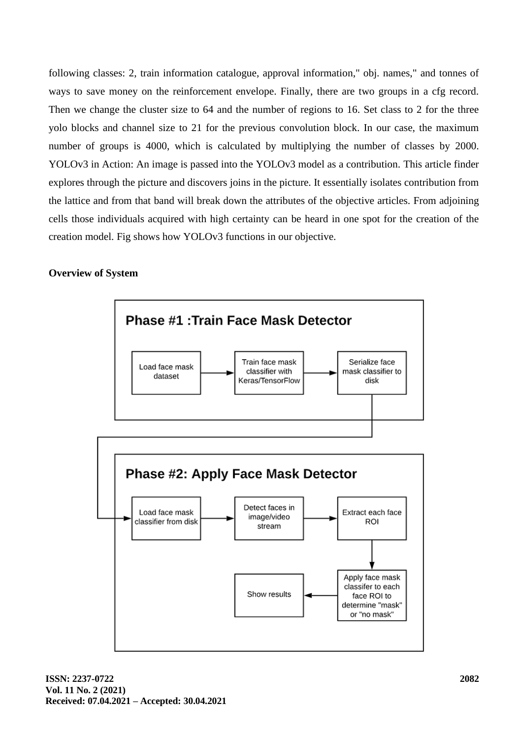following classes: 2, train information catalogue, approval information," obj. names," and tonnes of ways to save money on the reinforcement envelope. Finally, there are two groups in a cfg record. Then we change the cluster size to 64 and the number of regions to 16. Set class to 2 for the three yolo blocks and channel size to 21 for the previous convolution block. In our case, the maximum number of groups is 4000, which is calculated by multiplying the number of classes by 2000. YOLOv3 in Action: An image is passed into the YOLOv3 model as a contribution. This article finder explores through the picture and discovers joins in the picture. It essentially isolates contribution from the lattice and from that band will break down the attributes of the objective articles. From adjoining cells those individuals acquired with high certainty can be heard in one spot for the creation of the creation model. Fig shows how YOLOv3 functions in our objective.

#### **Overview of System**

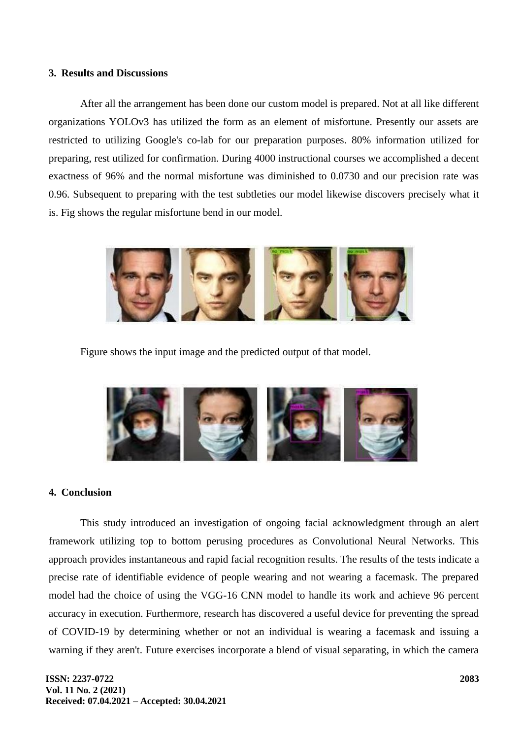#### **3. Results and Discussions**

After all the arrangement has been done our custom model is prepared. Not at all like different organizations YOLOv3 has utilized the form as an element of misfortune. Presently our assets are restricted to utilizing Google's co-lab for our preparation purposes. 80% information utilized for preparing, rest utilized for confirmation. During 4000 instructional courses we accomplished a decent exactness of 96% and the normal misfortune was diminished to 0.0730 and our precision rate was 0.96. Subsequent to preparing with the test subtleties our model likewise discovers precisely what it is. Fig shows the regular misfortune bend in our model.



Figure shows the input image and the predicted output of that model.



#### **4. Conclusion**

This study introduced an investigation of ongoing facial acknowledgment through an alert framework utilizing top to bottom perusing procedures as Convolutional Neural Networks. This approach provides instantaneous and rapid facial recognition results. The results of the tests indicate a precise rate of identifiable evidence of people wearing and not wearing a facemask. The prepared model had the choice of using the VGG-16 CNN model to handle its work and achieve 96 percent accuracy in execution. Furthermore, research has discovered a useful device for preventing the spread of COVID-19 by determining whether or not an individual is wearing a facemask and issuing a warning if they aren't. Future exercises incorporate a blend of visual separating, in which the camera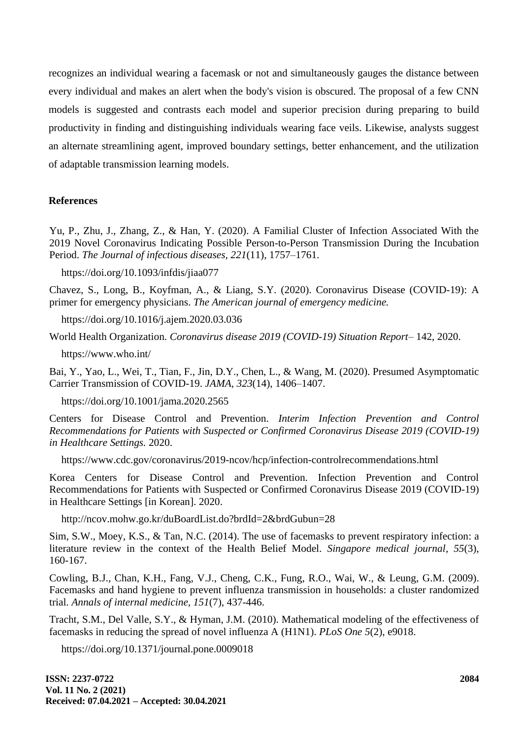recognizes an individual wearing a facemask or not and simultaneously gauges the distance between every individual and makes an alert when the body's vision is obscured. The proposal of a few CNN models is suggested and contrasts each model and superior precision during preparing to build productivity in finding and distinguishing individuals wearing face veils. Likewise, analysts suggest an alternate streamlining agent, improved boundary settings, better enhancement, and the utilization of adaptable transmission learning models.

#### **References**

Yu, P., Zhu, J., Zhang, Z., & Han, Y. (2020). A Familial Cluster of Infection Associated With the 2019 Novel Coronavirus Indicating Possible Person-to-Person Transmission During the Incubation Period. *The Journal of infectious diseases, 221*(11), 1757–1761.

https://doi.org/10.1093/infdis/jiaa077

Chavez, S., Long, B., Koyfman, A., & Liang, S.Y. (2020). Coronavirus Disease (COVID-19): A primer for emergency physicians. *The American journal of emergency medicine.*

https://doi.org/10.1016/j.ajem.2020.03.036

World Health Organization. *Coronavirus disease 2019 (COVID-19) Situation Report*– 142, 2020.

https://www.who.int/

Bai, Y., Yao, L., Wei, T., Tian, F., Jin, D.Y., Chen, L., & Wang, M. (2020). Presumed Asymptomatic Carrier Transmission of COVID-19. *JAMA, 323*(14), 1406–1407.

https://doi.org/10.1001/jama.2020.2565

Centers for Disease Control and Prevention. *Interim Infection Prevention and Control Recommendations for Patients with Suspected or Confirmed Coronavirus Disease 2019 (COVID-19) in Healthcare Settings.* 2020.

https://www.cdc.gov/coronavirus/2019-ncov/hcp/infection-controlrecommendations.html

Korea Centers for Disease Control and Prevention. Infection Prevention and Control Recommendations for Patients with Suspected or Confirmed Coronavirus Disease 2019 (COVID-19) in Healthcare Settings [in Korean]. 2020.

http://ncov.mohw.go.kr/duBoardList.do?brdId=2&brdGubun=28

Sim, S.W., Moey, K.S., & Tan, N.C. (2014). The use of facemasks to prevent respiratory infection: a literature review in the context of the Health Belief Model. *Singapore medical journal, 55*(3), 160-167.

Cowling, B.J., Chan, K.H., Fang, V.J., Cheng, C.K., Fung, R.O., Wai, W., & Leung, G.M. (2009). Facemasks and hand hygiene to prevent influenza transmission in households: a cluster randomized trial. *Annals of internal medicine, 151*(7), 437-446.

Tracht, S.M., Del Valle, S.Y., & Hyman, J.M. (2010). Mathematical modeling of the effectiveness of facemasks in reducing the spread of novel influenza A (H1N1). *PLoS One 5*(2), e9018.

https://doi.org/10.1371/journal.pone.0009018